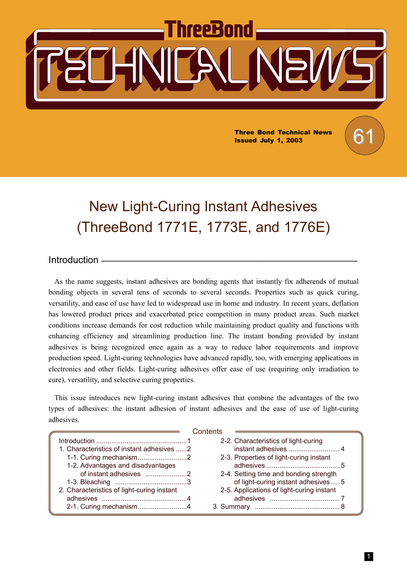# hreeBond

Three Bond Technical News  $\begin{pmatrix} 6 \\ 1 \end{pmatrix}$ Issued July 1, 2003

# New Light-Curing Instant Adhesives (ThreeBond 1771E, 1773E, and 1776E)

#### $Introduction -$

As the name suggests, instant adhesives are bonding agents that instantly fix adherends of mutual bonding objects in several tens of seconds to several seconds. Properties such as quick curing, versatility, and ease of use have led to widespread use in home and industry. In recent years, deflation has lowered product prices and exacerbated price competition in many product areas. Such market conditions increase demands for cost reduction while maintaining product quality and functions with enhancing efficiency and streamlining production line. The instant bonding provided by instant adhesives is being recognized once again as a way to reduce labor requirements and improve production speed. Light-curing technologies have advanced rapidly, too, with emerging applications in electronics and other fields. Light-curing adhesives offer ease of use (requiring only irradiation to cure), versatility, and selective curing properties.

This issue introduces new light-curing instant adhesives that combine the advantages of the two types of adhesives: the instant adhesion of instant adhesives and the ease of use of light-curing adhesives.

|                                            | Contents                                  |
|--------------------------------------------|-------------------------------------------|
|                                            | 2-2. Characteristics of light-curing      |
| 1. Characteristics of instant adhesives 2  |                                           |
|                                            | 2-3. Properties of light-curing instant   |
| 1-2. Advantages and disadvantages          |                                           |
| of instant adhesives 2                     | 2-4. Setting time and bonding strength    |
|                                            | of light-curing instant adhesives 5       |
| 2. Characteristics of light-curing instant | 2-5. Applications of light-curing instant |
|                                            |                                           |
|                                            |                                           |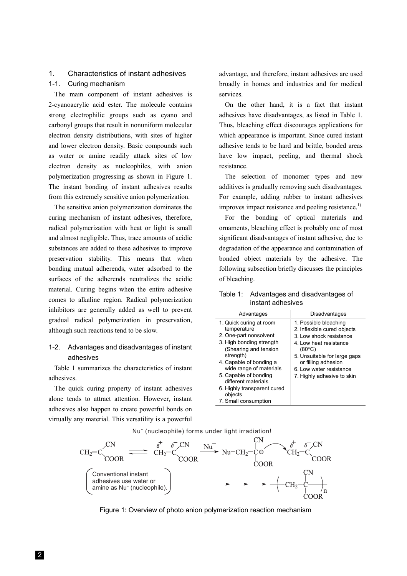## 1. Characteristics of instant adhesives

#### 1-1. Curing mechanism

The main component of instant adhesives is 2-cyanoacrylic acid ester. The molecule contains strong electrophilic groups such as cyano and carbonyl groups that result in nonuniform molecular electron density distributions, with sites of higher and lower electron density. Basic compounds such as water or amine readily attack sites of low electron density as nucleophiles, with anion polymerization progressing as shown in Figure 1. The instant bonding of instant adhesives results from this extremely sensitive anion polymerization.

The sensitive anion polymerization dominates the curing mechanism of instant adhesives, therefore, radical polymerization with heat or light is small and almost negligible. Thus, trace amounts of acidic substances are added to these adhesives to improve preservation stability. This means that when bonding mutual adherends, water adsorbed to the surfaces of the adherends neutralizes the acidic material. Curing begins when the entire adhesive comes to alkaline region. Radical polymerization inhibitors are generally added as well to prevent gradual radical polymerization in preservation, although such reactions tend to be slow.

#### 1-2. Advantages and disadvantages of instant adhesives

Table 1 summarizes the characteristics of instant adhesives.

The quick curing property of instant adhesives alone tends to attract attention. However, instant adhesives also happen to create powerful bonds on virtually any material. This versatility is a powerful

advantage, and therefore, instant adhesives are used broadly in homes and industries and for medical services.

On the other hand, it is a fact that instant adhesives have disadvantages, as listed in Table 1. Thus, bleaching effect discourages applications for which appearance is important. Since cured instant adhesive tends to be hard and brittle, bonded areas have low impact, peeling, and thermal shock resistance.

The selection of monomer types and new additives is gradually removing such disadvantages. For example, adding rubber to instant adhesives improves impact resistance and peeling resistance.<sup>1)</sup>

For the bonding of optical materials and ornaments, bleaching effect is probably one of most significant disadvantages of instant adhesive, due to degradation of the appearance and contamination of bonded object materials by the adhesive. The following subsection briefly discusses the principles of bleaching.

| Table 1: Advantages and disadvantages of |
|------------------------------------------|
| instant adhesives                        |

Nu<sup>-</sup> (nucleophile) forms under light irradiation!



Figure 1: Overview of photo anion polymerization reaction mechanism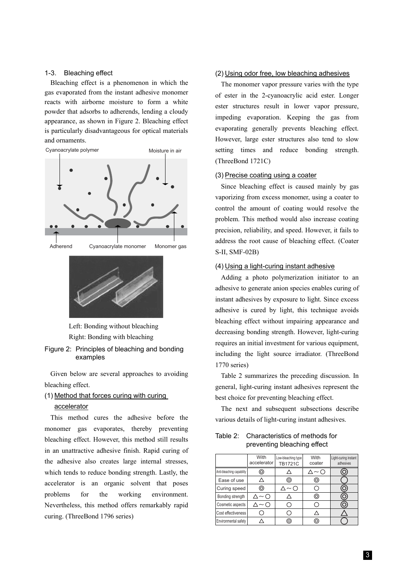#### 1-3. Bleaching effect

Bleaching effect is a phenomenon in which the gas evaporated from the instant adhesive monomer reacts with airborne moisture to form a white powder that adsorbs to adherends, lending a cloudy appearance, as shown in Figure 2. Bleaching effect is particularly disadvantageous for optical materials and ornaments.



Left: Bonding without bleaching Right: Bonding with bleaching

Figure 2: Principles of bleaching and bonding examples

Given below are several approaches to avoiding bleaching effect.

#### (1) Method that forces curing with curing

#### accelerator

This method cures the adhesive before the monomer gas evaporates, thereby preventing bleaching effect. However, this method still results in an unattractive adhesive finish. Rapid curing of the adhesive also creates large internal stresses, which tends to reduce bonding strength. Lastly, the accelerator is an organic solvent that poses problems for the working environment. Nevertheless, this method offers remarkably rapid curing. (ThreeBond 1796 series)

#### (2) Using odor free, low bleaching adhesives

The monomer vapor pressure varies with the type of ester in the 2-cyanoacrylic acid ester. Longer ester structures result in lower vapor pressure, impeding evaporation. Keeping the gas from evaporating generally prevents bleaching effect. However, large ester structures also tend to slow setting times and reduce bonding strength. (ThreeBond 1721C)

#### (3) Precise coating using a coater

Since bleaching effect is caused mainly by gas vaporizing from excess monomer, using a coater to control the amount of coating would resolve the problem. This method would also increase coating precision, reliability, and speed. However, it fails to address the root cause of bleaching effect. (Coater S-II, SMF-02B)

#### (4) Using a light-curing instant adhesive

Adding a photo polymerization initiator to an adhesive to generate anion species enables curing of instant adhesives by exposure to light. Since excess adhesive is cured by light, this technique avoids bleaching effect without impairing appearance and decreasing bonding strength. However, light-curing requires an initial investment for various equipment, including the light source irradiator. (ThreeBond 1770 series)

Table 2 summarizes the preceding discussion. In general, light-curing instant adhesives represent the best choice for preventing bleaching effect.

The next and subsequent subsections describe various details of light-curing instant adhesives.

Table 2: Characteristics of methods for preventing bleaching effect

| With<br>accelerator       |   | Low-bleaching type<br><b>TB1721C</b> | With<br>coater | Light-curing instant<br>adhesives |  |
|---------------------------|---|--------------------------------------|----------------|-----------------------------------|--|
| Anti-bleaching capability | 0 |                                      | ( ~ ( )        |                                   |  |
| Ease of use               |   | (Θ                                   | 0              |                                   |  |
| 0<br>Curing speed         |   | $\sim$ (                             |                |                                   |  |
| Bonding strength          |   |                                      | 0              |                                   |  |
| Cosmetic aspects          |   |                                      |                |                                   |  |
| Cost effectiveness        |   |                                      |                |                                   |  |
| Environmental safety      |   | О                                    |                |                                   |  |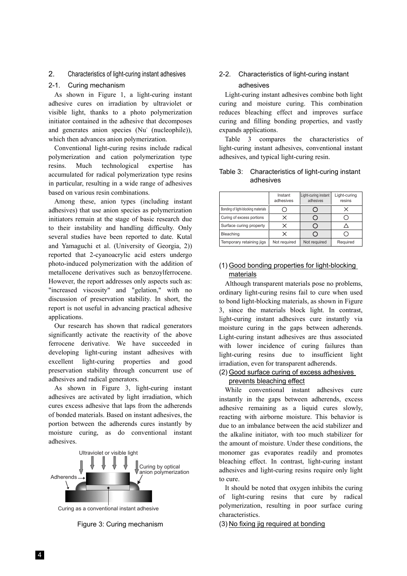#### 2. Characteristics of light-curing instant adhesives

#### 2-1. Curing mechanism

As shown in Figure 1, a light-curing instant adhesive cures on irradiation by ultraviolet or visible light, thanks to a photo polymerization initiator contained in the adhesive that decomposes and generates anion species (Nu (nucleophile)), which then advances anion polymerization.

Conventional light-curing resins include radical polymerization and cation polymerization type resins. Much technological expertise has accumulated for radical polymerization type resins in particular, resulting in a wide range of adhesives based on various resin combinations.

Among these, anion types (including instant adhesives) that use anion species as polymerization initiators remain at the stage of basic research due to their instability and handling difficulty. Only several studies have been reported to date. Kutal and Yamaguchi et al. (University of Georgia, 2)) reported that 2-cyanoacrylic acid esters undergo photo-induced polymerization with the addition of metallocene derivatives such as benzoylferrocene. However, the report addresses only aspects such as: "increased viscosity" and "gelation," with no discussion of preservation stability. In short, the report is not useful in advancing practical adhesive applications.

Our research has shown that radical generators significantly activate the reactivity of the above ferrocene derivative. We have succeeded in developing light-curing instant adhesives with excellent light-curing properties and good preservation stability through concurrent use of adhesives and radical generators.

As shown in Figure 3, light-curing instant adhesives are activated by light irradiation, which cures excess adhesive that laps from the adherends of bonded materials. Based on instant adhesives, the portion between the adherends cures instantly by moisture curing, as do conventional instant adhesives.



Curing as a conventional instant adhesive

Figure 3: Curing mechanism

#### 2-2. Characteristics of light-curing instant adhesives

Light-curing instant adhesives combine both light curing and moisture curing. This combination reduces bleaching effect and improves surface curing and filling bonding properties, and vastly expands applications.

Table 3 compares the characteristics of light-curing instant adhesives, conventional instant adhesives, and typical light-curing resin.

#### Table 3: Characteristics of light-curing instant adhesives

|                                     | Instant<br>adhesives | Light-curing instant<br>adhesives | Light-curing<br>resins |  |
|-------------------------------------|----------------------|-----------------------------------|------------------------|--|
| Bonding of light-blocking materials |                      |                                   |                        |  |
| Curing of excess portions           | x                    |                                   |                        |  |
| Surface curing property             |                      |                                   |                        |  |
| Bleaching                           |                      |                                   |                        |  |
| Temporary retaining jigs            | Not required         | Not required                      | Required               |  |

#### (1) Good bonding properties for light-blocking materials

Although transparent materials pose no problems, ordinary light-curing resins fail to cure when used to bond light-blocking materials, as shown in Figure 3, since the materials block light. In contrast, light-curing instant adhesives cure instantly via moisture curing in the gaps between adherends. Light-curing instant adhesives are thus associated with lower incidence of curing failures than light-curing resins due to insufficient light irradiation, even for transparent adherends.

#### (2) Good surface curing of excess adhesives prevents bleaching effect

While conventional instant adhesives cure instantly in the gaps between adherends, excess adhesive remaining as a liquid cures slowly, reacting with airborne moisture. This behavior is due to an imbalance between the acid stabilizer and the alkaline initiator, with too much stabilizer for the amount of moisture. Under these conditions, the monomer gas evaporates readily and promotes bleaching effect. In contrast, light-curing instant adhesives and light-curing resins require only light to cure.

It should be noted that oxygen inhibits the curing of light-curing resins that cure by radical polymerization, resulting in poor surface curing characteristics.

(3) No fixing jig required at bonding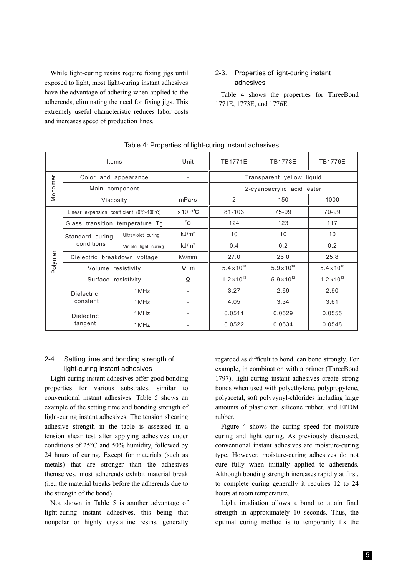While light-curing resins require fixing jigs until exposed to light, most light-curing instant adhesives have the advantage of adhering when applied to the adherends, eliminating the need for fixing jigs. This extremely useful characteristic reduces labor costs and increases speed of production lines.

#### 2-3. Properties of light-curing instant adhesives

Table 4 shows the properties for ThreeBond 1771E, 1773E, and 1776E.

|         | Items                                                          |                      | Unit                                       | <b>TB1771E</b>            | <b>TB1773E</b>       | <b>TB1776E</b>       |  |
|---------|----------------------------------------------------------------|----------------------|--------------------------------------------|---------------------------|----------------------|----------------------|--|
| Monomer | Color and appearance                                           |                      |                                            | Transparent yellow liquid |                      |                      |  |
|         | Main component                                                 |                      | -                                          | 2-cyanoacrylic acid ester |                      |                      |  |
|         | Viscosity                                                      |                      | mPa·s                                      | 2                         | 150                  | 1000                 |  |
| Polymer | Linear expansion coefficient ( $0^{\circ}$ C-100 $^{\circ}$ C) |                      | $\times$ 10 <sup>-6</sup> / <sup>°</sup> C | 81-103                    | 75-99                | 70-99                |  |
|         | Glass transition temperature Tg                                |                      | $^{\circ}$ C                               | 124                       | 123                  | 117                  |  |
|         | Standard curing<br>conditions                                  | Ultraviolet curing   | kJ/m <sup>2</sup>                          | 10                        | 10                   | 10                   |  |
|         |                                                                | Visible light curing | kJ/m <sup>2</sup>                          | 0.4                       | 0.2                  | 0.2                  |  |
|         | Dielectric breakdown voltage                                   |                      | kV/mm                                      | 27.0                      | 26.0                 | 25.8                 |  |
|         | Volume resistivity                                             |                      | $\Omega \cdot m$                           | $5.4 \times 10^{13}$      | $5.9 \times 10^{13}$ | $5.4 \times 10^{13}$ |  |
|         | Surface resistivity                                            |                      | Ω                                          | $1.2 \times 10^{13}$      | $5.9 \times 10^{12}$ | $1.2 \times 10^{13}$ |  |
|         | <b>Dielectric</b><br>constant                                  | 1 MHz                |                                            | 3.27                      | 2.69                 | 2.90                 |  |
|         |                                                                | 1 MHz                |                                            | 4.05                      | 3.34                 | 3.61                 |  |
|         | <b>Dielectric</b><br>tangent                                   | 1 MHz                |                                            | 0.0511                    | 0.0529               | 0.0555               |  |
|         |                                                                | 1 MHz                |                                            | 0.0522                    | 0.0534               | 0.0548               |  |

#### Table 4: Properties of light-curing instant adhesives

#### 2-4. Setting time and bonding strength of light-curing instant adhesives

Light-curing instant adhesives offer good bonding properties for various substrates, similar to conventional instant adhesives. Table 5 shows an example of the setting time and bonding strength of light-curing instant adhesives. The tension shearing adhesive strength in the table is assessed in a tension shear test after applying adhesives under conditions of 25°C and 50% humidity, followed by 24 hours of curing. Except for materials (such as metals) that are stronger than the adhesives themselves, most adherends exhibit material break (i.e., the material breaks before the adherends due to the strength of the bond).

Not shown in Table 5 is another advantage of light-curing instant adhesives, this being that nonpolar or highly crystalline resins, generally

regarded as difficult to bond, can bond strongly. For example, in combination with a primer (ThreeBond 1797), light-curing instant adhesives create strong bonds when used with polyethylene, polypropylene, polyacetal, soft polyvynyl-chlorides including large amounts of plasticizer, silicone rubber, and EPDM rubber.

Figure 4 shows the curing speed for moisture curing and light curing. As previously discussed, conventional instant adhesives are moisture-curing type. However, moisture-curing adhesives do not cure fully when initially applied to adherends. Although bonding strength increases rapidly at first, to complete curing generally it requires 12 to 24 hours at room temperature.

Light irradiation allows a bond to attain final strength in approximately 10 seconds. Thus, the optimal curing method is to temporarily fix the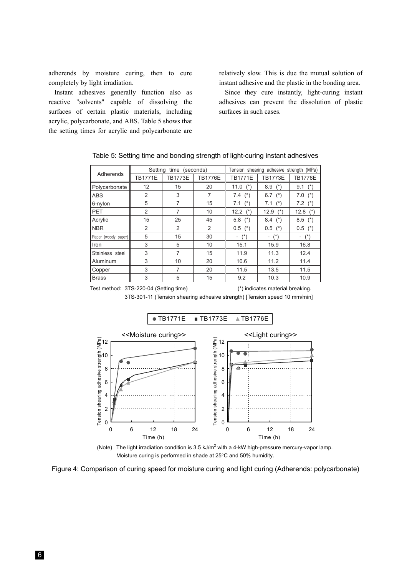adherends by moisture curing, then to cure completely by light irradiation.

Instant adhesives generally function also as reactive "solvents" capable of dissolving the surfaces of certain plastic materials, including acrylic, polycarbonate, and ABS. Table 5 shows that the setting times for acrylic and polycarbonate are relatively slow. This is due the mutual solution of instant adhesive and the plastic in the bonding area.

Since they cure instantly, light-curing instant adhesives can prevent the dissolution of plastic surfaces in such cases.

| Adherends           | Setting time (seconds) |                |                | Tension shearing adhesive strength (MPa) |                |                                   |
|---------------------|------------------------|----------------|----------------|------------------------------------------|----------------|-----------------------------------|
|                     | <b>TB1771E</b>         | <b>TB1773E</b> | <b>TB1776E</b> | <b>TB1771E</b>                           | <b>TB1773E</b> | <b>TB1776E</b>                    |
| Polycarbonate       | 12                     | 15             | 20             | 11.0<br>$(\star)$                        | $8.9$ (*)      | $(*)$<br>9.1                      |
| <b>ABS</b>          | 2                      | 3              | 7              | $(*)$<br>7.4                             | 6.7<br>$(*)$   | 7.0<br>$(*)$                      |
| 6-nylon             | 5                      | 7              | 15             | $(*)$<br>7.1                             | 7.1 $(*)$      | $7.2$ (*)                         |
| PET                 | 2                      | 7              | 10             | 12.2<br>$(*)$                            | 12.9<br>$(*)$  | 12.8<br>$(*)$                     |
| Acrylic             | 15                     | 25             | 45             | 5.8<br>$(*)$                             | 8.4<br>$(*)$   | 8.5<br>$(*)$                      |
| <b>NBR</b>          | 2                      | 2              | 2              | 0.5<br>$(*)$                             | $0.5$ (*)      | 0.5<br>$(*)$                      |
| Paper (woody paper) | 5                      | 15             | 30             | $ (*)$                                   | $ (*)$         | $(*)$<br>$\overline{\phantom{a}}$ |
| Iron                | 3                      | 5              | 10             | 15.1                                     | 15.9           | 16.8                              |
| Stainless steel     | 3                      | 7              | 15             | 11.9                                     | 11.3           | 12.4                              |
| Aluminum            | 3                      | 10             | 20             | 10.6                                     | 11.2           | 11.4                              |
| Copper              | 3                      | 7              | 20             | 11.5                                     | 13.5           | 11.5                              |
| <b>Brass</b>        | 3                      | 5              | 15             | 9.2                                      | 10.3           | 10.9                              |

Table 5: Setting time and bonding strength of light-curing instant adhesives

Test method: 3TS-220-04 (Setting time) (\*) indicates material breaking.

3TS-301-11 (Tension shearing adhesive strength) [Tension speed 10 mm/min]



(Note) The light irradiation condition is 3.5 kJ/m<sup>2</sup> with a 4-kW high-pressure mercury-vapor lamp. Moisture curing is performed in shade at 25°C and 50% humidity.

Figure 4: Comparison of curing speed for moisture curing and light curing (Adherends: polycarbonate)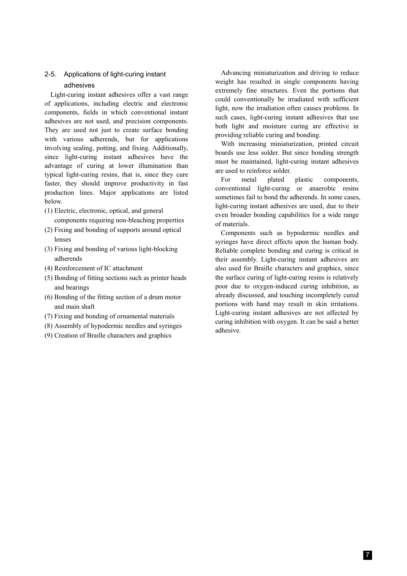## 2-5. Applications of light-curing instant

## adhesives

Light-curing instant adhesives offer a vast range of applications, including electric and electronic components, fields in which conventional instant adhesives are not used, and precision components. They are used not just to create surface bonding with various adherends, but for applications involving sealing, potting, and fixing. Additionally, since light-curing instant adhesives have the advantage of curing at lower illumination than typical light-curing resins, that is, since they cure faster, they should improve productivity in fast production lines. Major applications are listed below.

- (1) Electric, electronic, optical, and general components requiring non-bleaching properties
- (2) Fixing and bonding of supports around optical lenses
- (3) Fixing and bonding of various light-blocking adherends
- (4) Reinforcement of IC attachment
- (5) Bonding of fitting sections such as printer heads and bearings
- (6) Bonding of the fitting section of a drum motor and main shaft
- (7) Fixing and bonding of ornamental materials
- (8) Assembly of hypodermic needles and syringes
- (9) Creation of Braille characters and graphics

Advancing miniaturization and driving to reduce weight has resulted in single components having extremely fine structures. Even the portions that could conventionally be irradiated with sufficient light, now the irradiation often causes problems. In such cases, light-curing instant adhesives that use both light and moisture curing are effective in providing reliable curing and bonding.

With increasing miniaturization, printed circuit boards use less solder. But since bonding strength must be maintained, light-curing instant adhesives are used to reinforce solder.

For metal plated plastic components, conventional light-curing or anaerobic resins sometimes fail to bond the adherends. In some cases, light-curing instant adhesives are used, due to their even broader bonding capabilities for a wide range of materials.

Components such as hypodermic needles and syringes have direct effects upon the human body. Reliable complete bonding and curing is critical in their assembly. Light-curing instant adhesives are also used for Braille characters and graphics, since the surface curing of light-curing resins is relatively poor due to oxygen-induced curing inhibition, as already discussed, and touching incompletely cured portions with hand may result in skin irritations. Light-curing instant adhesives are not affected by curing inhibition with oxygen. It can be said a better adhesive.